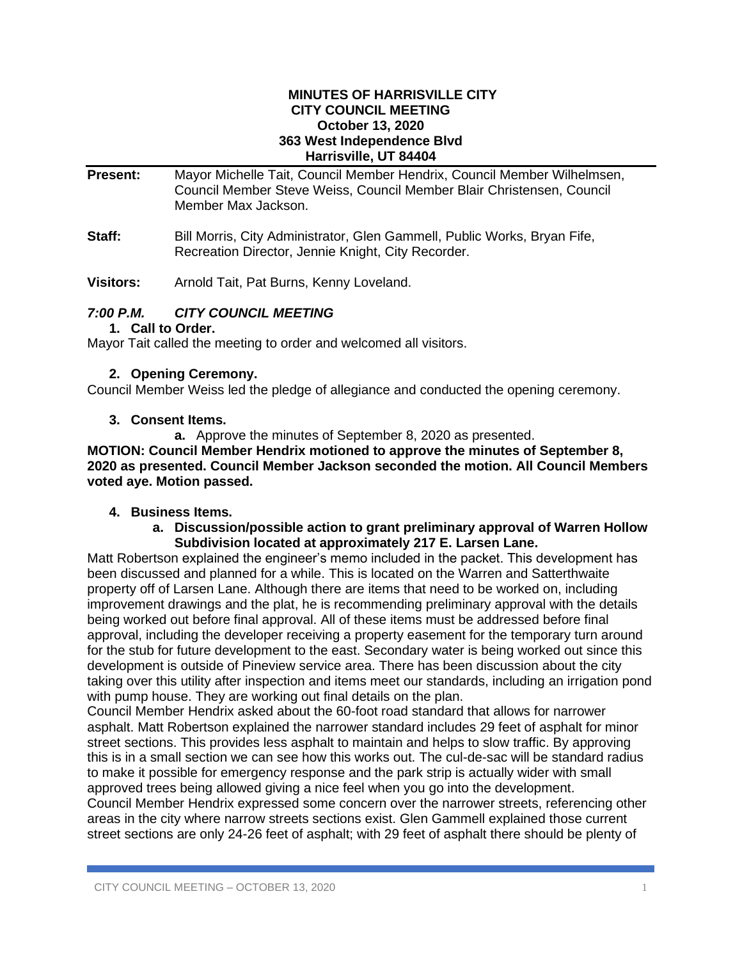#### **MINUTES OF HARRISVILLE CITY CITY COUNCIL MEETING October 13, 2020 363 West Independence Blvd Harrisville, UT 84404**

**Present:** Mayor Michelle Tait, Council Member Hendrix, Council Member Wilhelmsen, Council Member Steve Weiss, Council Member Blair Christensen, Council Member Max Jackson.

**Staff:** Bill Morris, City Administrator, Glen Gammell, Public Works, Bryan Fife, Recreation Director, Jennie Knight, City Recorder.

**Visitors:** Arnold Tait, Pat Burns, Kenny Loveland.

# *7:00 P.M. CITY COUNCIL MEETING*

## **1. Call to Order.**

Mayor Tait called the meeting to order and welcomed all visitors.

# **2. Opening Ceremony.**

Council Member Weiss led the pledge of allegiance and conducted the opening ceremony.

# **3. Consent Items.**

**a.** Approve the minutes of September 8, 2020 as presented.

**MOTION: Council Member Hendrix motioned to approve the minutes of September 8, 2020 as presented. Council Member Jackson seconded the motion. All Council Members voted aye. Motion passed.**

# **4. Business Items.**

#### **a. Discussion/possible action to grant preliminary approval of Warren Hollow Subdivision located at approximately 217 E. Larsen Lane.**

Matt Robertson explained the engineer's memo included in the packet. This development has been discussed and planned for a while. This is located on the Warren and Satterthwaite property off of Larsen Lane. Although there are items that need to be worked on, including improvement drawings and the plat, he is recommending preliminary approval with the details being worked out before final approval. All of these items must be addressed before final approval, including the developer receiving a property easement for the temporary turn around for the stub for future development to the east. Secondary water is being worked out since this development is outside of Pineview service area. There has been discussion about the city taking over this utility after inspection and items meet our standards, including an irrigation pond with pump house. They are working out final details on the plan.

Council Member Hendrix asked about the 60-foot road standard that allows for narrower asphalt. Matt Robertson explained the narrower standard includes 29 feet of asphalt for minor street sections. This provides less asphalt to maintain and helps to slow traffic. By approving this is in a small section we can see how this works out. The cul-de-sac will be standard radius to make it possible for emergency response and the park strip is actually wider with small approved trees being allowed giving a nice feel when you go into the development. Council Member Hendrix expressed some concern over the narrower streets, referencing other

areas in the city where narrow streets sections exist. Glen Gammell explained those current street sections are only 24-26 feet of asphalt; with 29 feet of asphalt there should be plenty of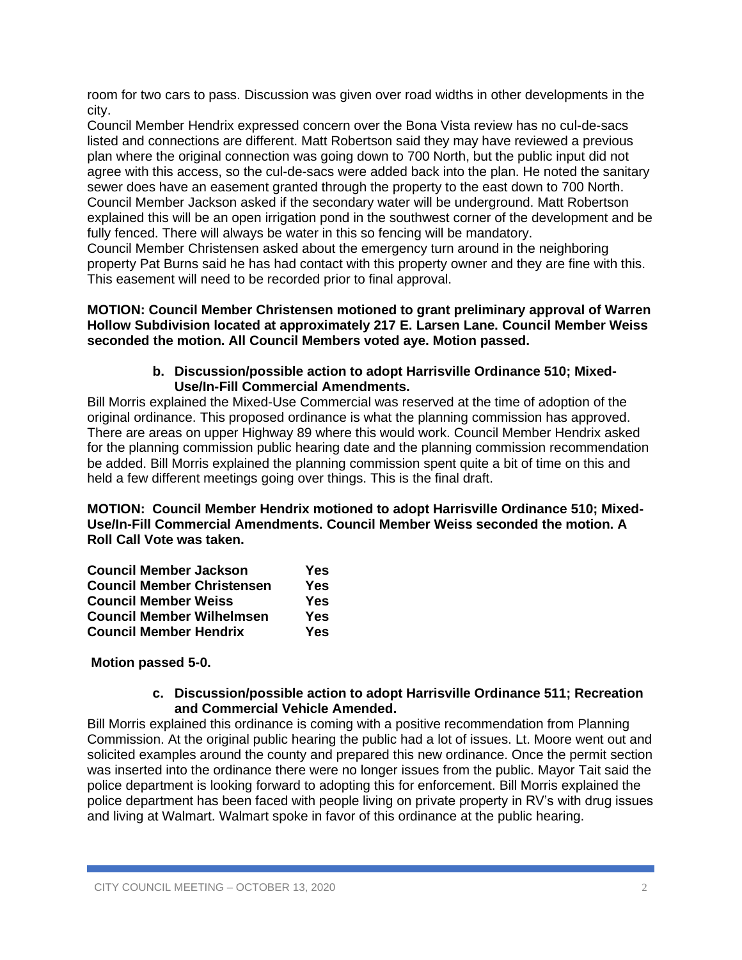room for two cars to pass. Discussion was given over road widths in other developments in the city.

Council Member Hendrix expressed concern over the Bona Vista review has no cul-de-sacs listed and connections are different. Matt Robertson said they may have reviewed a previous plan where the original connection was going down to 700 North, but the public input did not agree with this access, so the cul-de-sacs were added back into the plan. He noted the sanitary sewer does have an easement granted through the property to the east down to 700 North. Council Member Jackson asked if the secondary water will be underground. Matt Robertson explained this will be an open irrigation pond in the southwest corner of the development and be fully fenced. There will always be water in this so fencing will be mandatory.

Council Member Christensen asked about the emergency turn around in the neighboring property Pat Burns said he has had contact with this property owner and they are fine with this. This easement will need to be recorded prior to final approval.

**MOTION: Council Member Christensen motioned to grant preliminary approval of Warren Hollow Subdivision located at approximately 217 E. Larsen Lane. Council Member Weiss seconded the motion. All Council Members voted aye. Motion passed.**

#### **b. Discussion/possible action to adopt Harrisville Ordinance 510; Mixed-Use/In-Fill Commercial Amendments.**

Bill Morris explained the Mixed-Use Commercial was reserved at the time of adoption of the original ordinance. This proposed ordinance is what the planning commission has approved. There are areas on upper Highway 89 where this would work. Council Member Hendrix asked for the planning commission public hearing date and the planning commission recommendation be added. Bill Morris explained the planning commission spent quite a bit of time on this and held a few different meetings going over things. This is the final draft.

**MOTION: Council Member Hendrix motioned to adopt Harrisville Ordinance 510; Mixed-Use/In-Fill Commercial Amendments. Council Member Weiss seconded the motion. A Roll Call Vote was taken.**

| <b>Council Member Jackson</b>     | Yes |
|-----------------------------------|-----|
| <b>Council Member Christensen</b> | Yes |
| <b>Council Member Weiss</b>       | Yes |
| <b>Council Member Wilhelmsen</b>  | Yes |
| <b>Council Member Hendrix</b>     | Yes |

## **Motion passed 5-0.**

#### **c. Discussion/possible action to adopt Harrisville Ordinance 511; Recreation and Commercial Vehicle Amended.**

Bill Morris explained this ordinance is coming with a positive recommendation from Planning Commission. At the original public hearing the public had a lot of issues. Lt. Moore went out and solicited examples around the county and prepared this new ordinance. Once the permit section was inserted into the ordinance there were no longer issues from the public. Mayor Tait said the police department is looking forward to adopting this for enforcement. Bill Morris explained the police department has been faced with people living on private property in RV's with drug issues and living at Walmart. Walmart spoke in favor of this ordinance at the public hearing.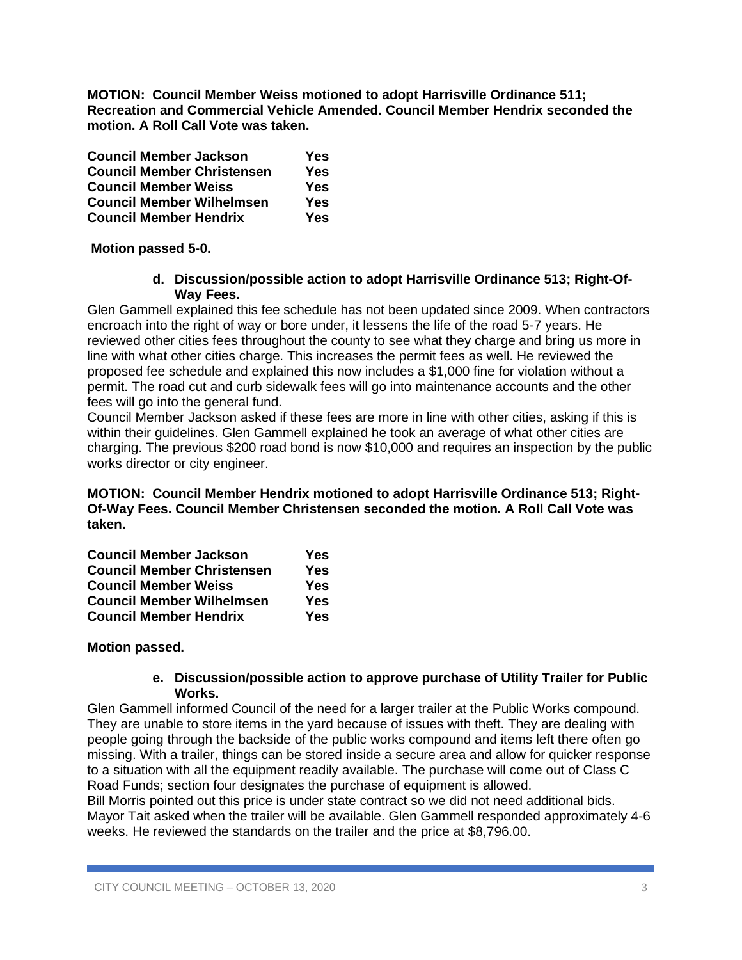**MOTION: Council Member Weiss motioned to adopt Harrisville Ordinance 511; Recreation and Commercial Vehicle Amended. Council Member Hendrix seconded the motion. A Roll Call Vote was taken.**

| <b>Council Member Jackson</b>     | <b>Yes</b> |
|-----------------------------------|------------|
| <b>Council Member Christensen</b> | <b>Yes</b> |
| <b>Council Member Weiss</b>       | <b>Yes</b> |
| <b>Council Member Wilhelmsen</b>  | <b>Yes</b> |
| <b>Council Member Hendrix</b>     | <b>Yes</b> |

## **Motion passed 5-0.**

#### **d. Discussion/possible action to adopt Harrisville Ordinance 513; Right-Of-Way Fees.**

Glen Gammell explained this fee schedule has not been updated since 2009. When contractors encroach into the right of way or bore under, it lessens the life of the road 5-7 years. He reviewed other cities fees throughout the county to see what they charge and bring us more in line with what other cities charge. This increases the permit fees as well. He reviewed the proposed fee schedule and explained this now includes a \$1,000 fine for violation without a permit. The road cut and curb sidewalk fees will go into maintenance accounts and the other fees will go into the general fund.

Council Member Jackson asked if these fees are more in line with other cities, asking if this is within their guidelines. Glen Gammell explained he took an average of what other cities are charging. The previous \$200 road bond is now \$10,000 and requires an inspection by the public works director or city engineer.

**MOTION: Council Member Hendrix motioned to adopt Harrisville Ordinance 513; Right-Of-Way Fees. Council Member Christensen seconded the motion. A Roll Call Vote was taken.**

| <b>Council Member Jackson</b>     | Yes |
|-----------------------------------|-----|
| <b>Council Member Christensen</b> | Yes |
| <b>Council Member Weiss</b>       | Yes |
| <b>Council Member Wilhelmsen</b>  | Yes |
| <b>Council Member Hendrix</b>     | Yes |

## **Motion passed.**

#### **e. Discussion/possible action to approve purchase of Utility Trailer for Public Works.**

Glen Gammell informed Council of the need for a larger trailer at the Public Works compound. They are unable to store items in the yard because of issues with theft. They are dealing with people going through the backside of the public works compound and items left there often go missing. With a trailer, things can be stored inside a secure area and allow for quicker response to a situation with all the equipment readily available. The purchase will come out of Class C Road Funds; section four designates the purchase of equipment is allowed.

Bill Morris pointed out this price is under state contract so we did not need additional bids. Mayor Tait asked when the trailer will be available. Glen Gammell responded approximately 4-6 weeks. He reviewed the standards on the trailer and the price at \$8,796.00.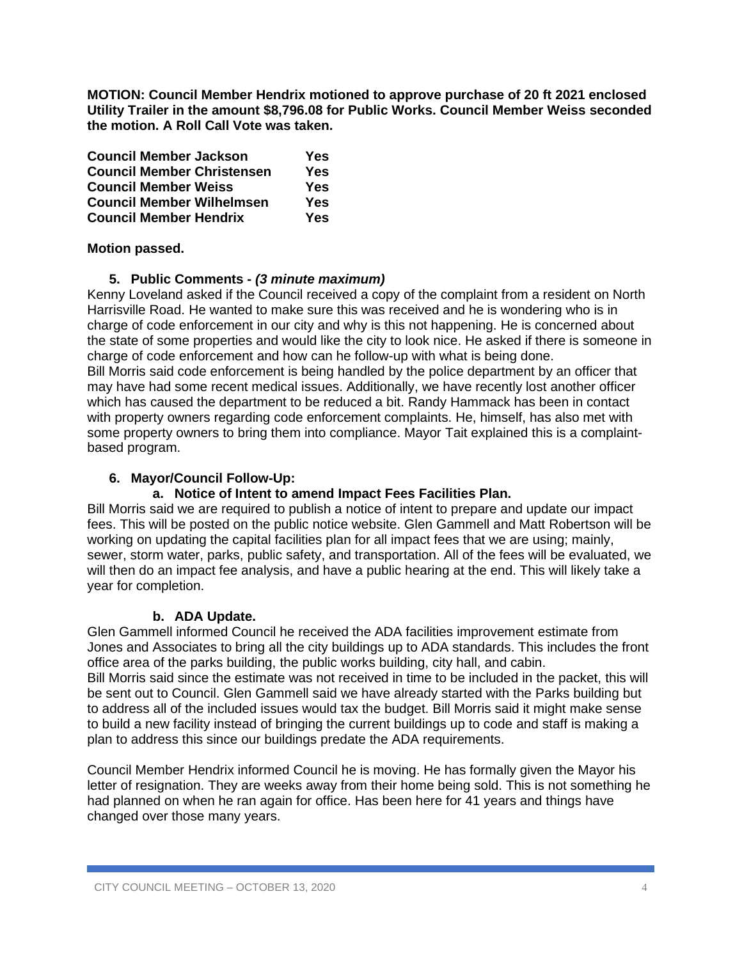**MOTION: Council Member Hendrix motioned to approve purchase of 20 ft 2021 enclosed Utility Trailer in the amount \$8,796.08 for Public Works. Council Member Weiss seconded the motion. A Roll Call Vote was taken.**

| <b>Council Member Jackson</b>     | Yes |
|-----------------------------------|-----|
| <b>Council Member Christensen</b> | Yes |
| <b>Council Member Weiss</b>       | Yes |
| <b>Council Member Wilhelmsen</b>  | Yes |
| <b>Council Member Hendrix</b>     | Yes |

## **Motion passed.**

# **5. Public Comments -** *(3 minute maximum)*

Kenny Loveland asked if the Council received a copy of the complaint from a resident on North Harrisville Road. He wanted to make sure this was received and he is wondering who is in charge of code enforcement in our city and why is this not happening. He is concerned about the state of some properties and would like the city to look nice. He asked if there is someone in charge of code enforcement and how can he follow-up with what is being done. Bill Morris said code enforcement is being handled by the police department by an officer that may have had some recent medical issues. Additionally, we have recently lost another officer which has caused the department to be reduced a bit. Randy Hammack has been in contact with property owners regarding code enforcement complaints. He, himself, has also met with some property owners to bring them into compliance. Mayor Tait explained this is a complaintbased program.

## **6. Mayor/Council Follow-Up:**

## **a. Notice of Intent to amend Impact Fees Facilities Plan.**

Bill Morris said we are required to publish a notice of intent to prepare and update our impact fees. This will be posted on the public notice website. Glen Gammell and Matt Robertson will be working on updating the capital facilities plan for all impact fees that we are using; mainly, sewer, storm water, parks, public safety, and transportation. All of the fees will be evaluated, we will then do an impact fee analysis, and have a public hearing at the end. This will likely take a year for completion.

## **b. ADA Update.**

Glen Gammell informed Council he received the ADA facilities improvement estimate from Jones and Associates to bring all the city buildings up to ADA standards. This includes the front office area of the parks building, the public works building, city hall, and cabin. Bill Morris said since the estimate was not received in time to be included in the packet, this will be sent out to Council. Glen Gammell said we have already started with the Parks building but to address all of the included issues would tax the budget. Bill Morris said it might make sense to build a new facility instead of bringing the current buildings up to code and staff is making a plan to address this since our buildings predate the ADA requirements.

Council Member Hendrix informed Council he is moving. He has formally given the Mayor his letter of resignation. They are weeks away from their home being sold. This is not something he had planned on when he ran again for office. Has been here for 41 years and things have changed over those many years.